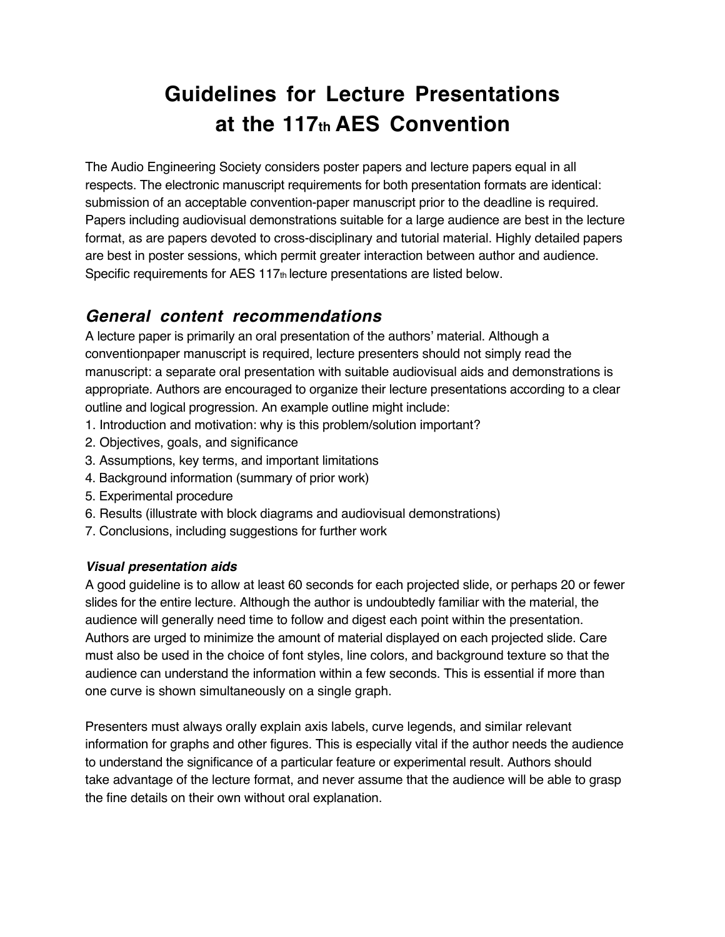# **Guidelines for Lecture Presentations at the 117th AES Convention**

The Audio Engineering Society considers poster papers and lecture papers equal in all respects. The electronic manuscript requirements for both presentation formats are identical: submission of an acceptable convention-paper manuscript prior to the deadline is required. Papers including audiovisual demonstrations suitable for a large audience are best in the lecture format, as are papers devoted to cross-disciplinary and tutorial material. Highly detailed papers are best in poster sessions, which permit greater interaction between author and audience. Specific requirements for AES 117th lecture presentations are listed below.

## **General content recommendations**

A lecture paper is primarily an oral presentation of the authors' material. Although a conventionpaper manuscript is required, lecture presenters should not simply read the manuscript: a separate oral presentation with suitable audiovisual aids and demonstrations is appropriate. Authors are encouraged to organize their lecture presentations according to a clear outline and logical progression. An example outline might include:

- 1. Introduction and motivation: why is this problem/solution important?
- 2. Objectives, goals, and significance
- 3. Assumptions, key terms, and important limitations
- 4. Background information (summary of prior work)
- 5. Experimental procedure
- 6. Results (illustrate with block diagrams and audiovisual demonstrations)
- 7. Conclusions, including suggestions for further work

### **Visual presentation aids**

A good guideline is to allow at least 60 seconds for each projected slide, or perhaps 20 or fewer slides for the entire lecture. Although the author is undoubtedly familiar with the material, the audience will generally need time to follow and digest each point within the presentation. Authors are urged to minimize the amount of material displayed on each projected slide. Care must also be used in the choice of font styles, line colors, and background texture so that the audience can understand the information within a few seconds. This is essential if more than one curve is shown simultaneously on a single graph.

Presenters must always orally explain axis labels, curve legends, and similar relevant information for graphs and other figures. This is especially vital if the author needs the audience to understand the significance of a particular feature or experimental result. Authors should take advantage of the lecture format, and never assume that the audience will be able to grasp the fine details on their own without oral explanation.